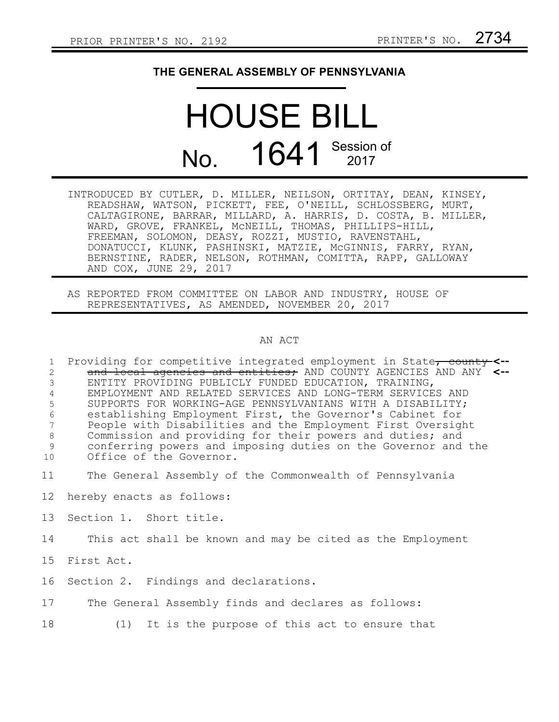## **THE GENERAL ASSEMBLY OF PENNSYLVANIA**

## HOUSE BILL No. 1641 Session of

- INTRODUCED BY CUTLER, D. MILLER, NEILSON, ORTITAY, DEAN, KINSEY, READSHAW, WATSON, PICKETT, FEE, O'NEILL, SCHLOSSBERG, MURT, CALTAGIRONE, BARRAR, MILLARD, A. HARRIS, D. COSTA, B. MILLER, WARD, GROVE, FRANKEL, McNEILL, THOMAS, PHILLIPS-HILL, FREEMAN, SOLOMON, DEASY, ROZZI, MUSTIO, RAVENSTAHL, DONATUCCI, KLUNK, PASHINSKI, MATZIE, McGINNIS, FARRY, RYAN, BERNSTINE, RADER, NELSON, ROTHMAN, COMITTA, RAPP, GALLOWAY AND COX, JUNE 29, 2017
- AS REPORTED FROM COMMITTEE ON LABOR AND INDUSTRY, HOUSE OF REPRESENTATIVES, AS AMENDED, NOVEMBER 20, 2017

## AN ACT

Providing for competitive integrated employment in State<del>, county</del> <-and local agencies and entities; AND COUNTY AGENCIES AND ANY **<--** ENTITY PROVIDING PUBLICLY FUNDED EDUCATION, TRAINING, EMPLOYMENT AND RELATED SERVICES AND LONG-TERM SERVICES AND SUPPORTS FOR WORKING-AGE PENNSYLVANIANS WITH A DISABILITY; establishing Employment First, the Governor's Cabinet for People with Disabilities and the Employment First Oversight Commission and providing for their powers and duties; and conferring powers and imposing duties on the Governor and the Office of the Governor. 1 2 3 4 5 6 7 8 9 10

- The General Assembly of the Commonwealth of Pennsylvania 11
- hereby enacts as follows: 12
- Section 1. Short title. 13
- This act shall be known and may be cited as the Employment 14
- First Act. 15
- Section 2. Findings and declarations. 16
- The General Assembly finds and declares as follows: 17
- (1) It is the purpose of this act to ensure that 18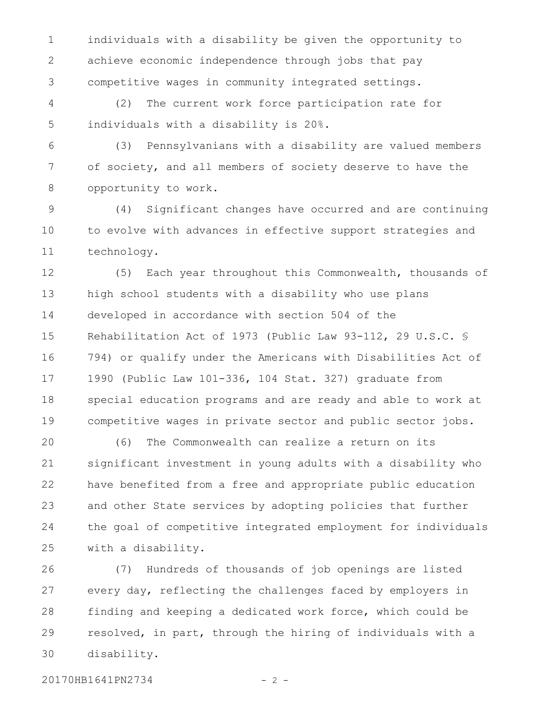individuals with a disability be given the opportunity to achieve economic independence through jobs that pay competitive wages in community integrated settings. 1 2 3

(2) The current work force participation rate for individuals with a disability is 20%. 4 5

(3) Pennsylvanians with a disability are valued members of society, and all members of society deserve to have the opportunity to work. 6 7 8

(4) Significant changes have occurred and are continuing to evolve with advances in effective support strategies and technology. 9 10 11

(5) Each year throughout this Commonwealth, thousands of high school students with a disability who use plans developed in accordance with section 504 of the Rehabilitation Act of 1973 (Public Law 93-112, 29 U.S.C. § 794) or qualify under the Americans with Disabilities Act of 1990 (Public Law 101-336, 104 Stat. 327) graduate from special education programs and are ready and able to work at competitive wages in private sector and public sector jobs. 12 13 14 15 16 17 18 19

(6) The Commonwealth can realize a return on its significant investment in young adults with a disability who have benefited from a free and appropriate public education and other State services by adopting policies that further the goal of competitive integrated employment for individuals with a disability. 20 21 22 23 24 25

(7) Hundreds of thousands of job openings are listed every day, reflecting the challenges faced by employers in finding and keeping a dedicated work force, which could be resolved, in part, through the hiring of individuals with a disability. 26 27 28 29 30

20170HB1641PN2734 - 2 -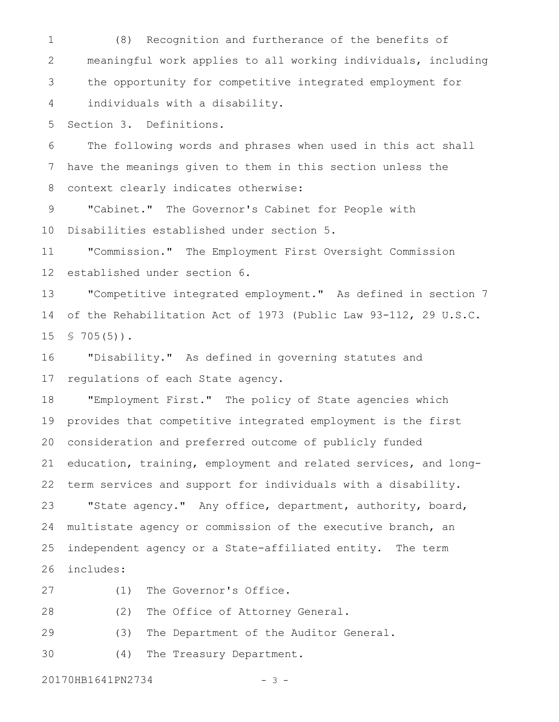(8) Recognition and furtherance of the benefits of meaningful work applies to all working individuals, including the opportunity for competitive integrated employment for individuals with a disability. 1 2 3 4

Section 3. Definitions. 5

The following words and phrases when used in this act shall have the meanings given to them in this section unless the context clearly indicates otherwise: 6 7 8

"Cabinet." The Governor's Cabinet for People with Disabilities established under section 5. 9 10

"Commission." The Employment First Oversight Commission established under section 6. 11 12

"Competitive integrated employment." As defined in section 7 of the Rehabilitation Act of 1973 (Public Law 93-112, 29 U.S.C.  $$705(5)$ . 13 14 15

"Disability." As defined in governing statutes and regulations of each State agency. 16 17

"Employment First." The policy of State agencies which provides that competitive integrated employment is the first consideration and preferred outcome of publicly funded education, training, employment and related services, and longterm services and support for individuals with a disability. "State agency." Any office, department, authority, board, multistate agency or commission of the executive branch, an independent agency or a State-affiliated entity. The term includes: 18 19 20 21 22 23 24 25 26

27

(1) The Governor's Office.

(2) The Office of Attorney General. 28

(3) The Department of the Auditor General. 29

(4) The Treasury Department. 30

20170HB1641PN2734 - 3 -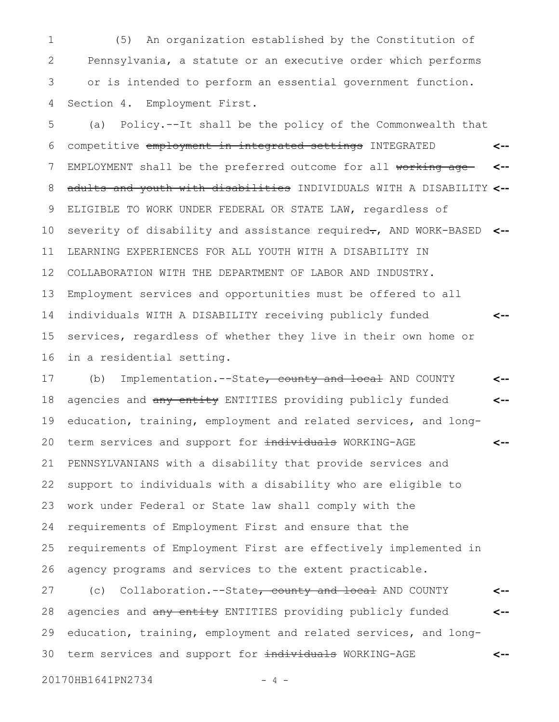(5) An organization established by the Constitution of Pennsylvania, a statute or an executive order which performs or is intended to perform an essential government function. Section 4. Employment First. 1 2 3 4

(a) Policy.--It shall be the policy of the Commonwealth that competitive employment in integrated settings INTEGRATED EMPLOYMENT shall be the preferred outcome for all working ageadults and youth with disabilities INDIVIDUALS WITH A DISABILITY **<--** ELIGIBLE TO WORK UNDER FEDERAL OR STATE LAW, regardless of severity of disability and assistance required-, AND WORK-BASED <--LEARNING EXPERIENCES FOR ALL YOUTH WITH A DISABILITY IN COLLABORATION WITH THE DEPARTMENT OF LABOR AND INDUSTRY. Employment services and opportunities must be offered to all individuals WITH A DISABILITY receiving publicly funded services, regardless of whether they live in their own home or in a residential setting. **<-- <-- <--** 5 6 7 8 9 10 11 12 13 14 15 16

(b) Implementation.--State, county and local AND COUNTY agencies and any entity ENTITIES providing publicly funded education, training, employment and related services, and longterm services and support for individuals WORKING-AGE PENNSYLVANIANS with a disability that provide services and support to individuals with a disability who are eligible to work under Federal or State law shall comply with the requirements of Employment First and ensure that the requirements of Employment First are effectively implemented in agency programs and services to the extent practicable. **<-- <-- <--** 17 18 19 20 21 22 23 24 25 26

(c) Collaboration.--State, county and local AND COUNTY agencies and any entity ENTITIES providing publicly funded education, training, employment and related services, and longterm services and support for individuals WORKING-AGE **<-- <-- <--** 27 28 29 30

20170HB1641PN2734 - 4 -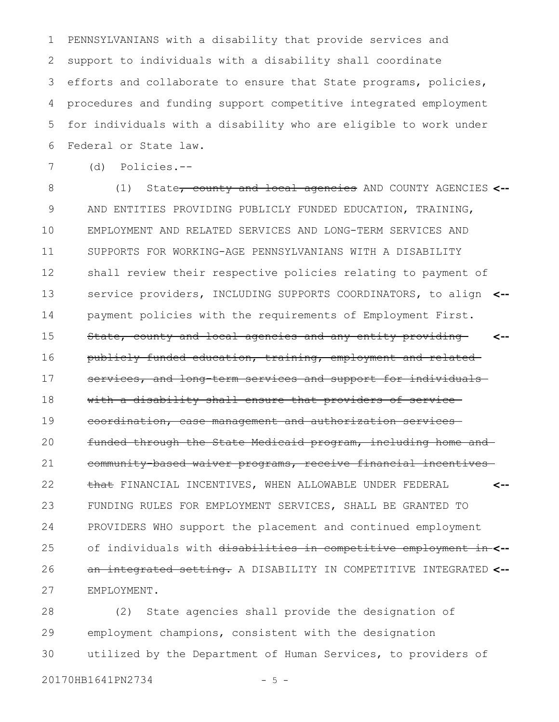PENNSYLVANIANS with a disability that provide services and support to individuals with a disability shall coordinate efforts and collaborate to ensure that State programs, policies, procedures and funding support competitive integrated employment for individuals with a disability who are eligible to work under Federal or State law. 1 2 3 4 5 6

7

(d) Policies.--

(1) State, county and local agencies AND COUNTY AGENCIES **<--** AND ENTITIES PROVIDING PUBLICLY FUNDED EDUCATION, TRAINING, EMPLOYMENT AND RELATED SERVICES AND LONG-TERM SERVICES AND SUPPORTS FOR WORKING-AGE PENNSYLVANIANS WITH A DISABILITY shall review their respective policies relating to payment of service providers, INCLUDING SUPPORTS COORDINATORS, to align **<-** payment policies with the requirements of Employment First. State, county and local agencies and any entity providing publicly funded education, training, employment and related services, and long-term services and support for individualswith a disability shall ensure that providers of service coordination, case management and authorization services funded through the State Medicaid program, including home and community-based waiver programs, receive financial incentives that FINANCIAL INCENTIVES, WHEN ALLOWABLE UNDER FEDERAL FUNDING RULES FOR EMPLOYMENT SERVICES, SHALL BE GRANTED TO PROVIDERS WHO support the placement and continued employment of individuals with disabilities in competitive employment in **<-** an integrated setting. A DISABILITY IN COMPETITIVE INTEGRATED **<--** EMPLOYMENT. **<-- <--** 8 9 10 11 12 13 14 15 16 17 18 19 20 21 22 23 24 25 26 27

(2) State agencies shall provide the designation of employment champions, consistent with the designation utilized by the Department of Human Services, to providers of 28 29 30

20170HB1641PN2734 - 5 -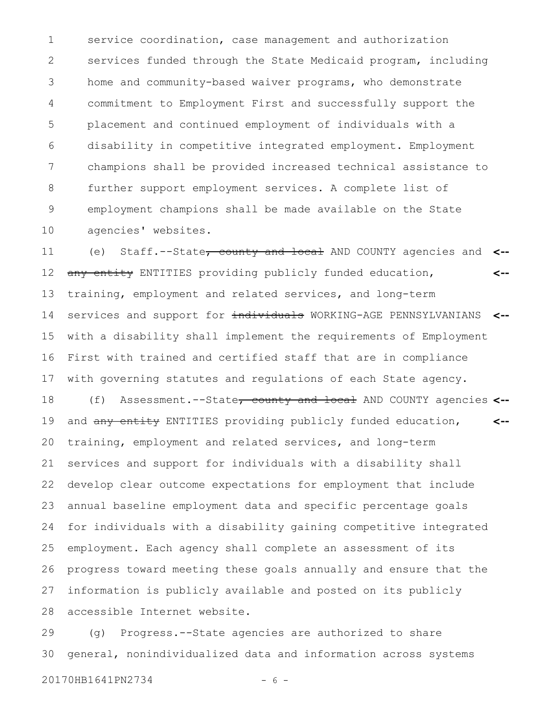service coordination, case management and authorization services funded through the State Medicaid program, including home and community-based waiver programs, who demonstrate commitment to Employment First and successfully support the placement and continued employment of individuals with a disability in competitive integrated employment. Employment champions shall be provided increased technical assistance to further support employment services. A complete list of employment champions shall be made available on the State agencies' websites. 1 2 3 4 5 6 7 8 9 10

(e) Staff.--State, county and local AND COUNTY agencies and **<-** any entity ENTITIES providing publicly funded education, training, employment and related services, and long-term services and support for individuals WORKING-AGE PENNSYLVANIANS <-with a disability shall implement the requirements of Employment First with trained and certified staff that are in compliance with governing statutes and regulations of each State agency. **<--** 11 12 13 14 15 16 17

(f) Assessment.--State, county and local AND COUNTY agencies **<-** and any entity ENTITIES providing publicly funded education, training, employment and related services, and long-term services and support for individuals with a disability shall develop clear outcome expectations for employment that include annual baseline employment data and specific percentage goals for individuals with a disability gaining competitive integrated employment. Each agency shall complete an assessment of its progress toward meeting these goals annually and ensure that the information is publicly available and posted on its publicly accessible Internet website. **<--** 18 19 20 21 22 23 24 25 26 27 28

(g) Progress.--State agencies are authorized to share general, nonindividualized data and information across systems 29 30

20170HB1641PN2734 - 6 -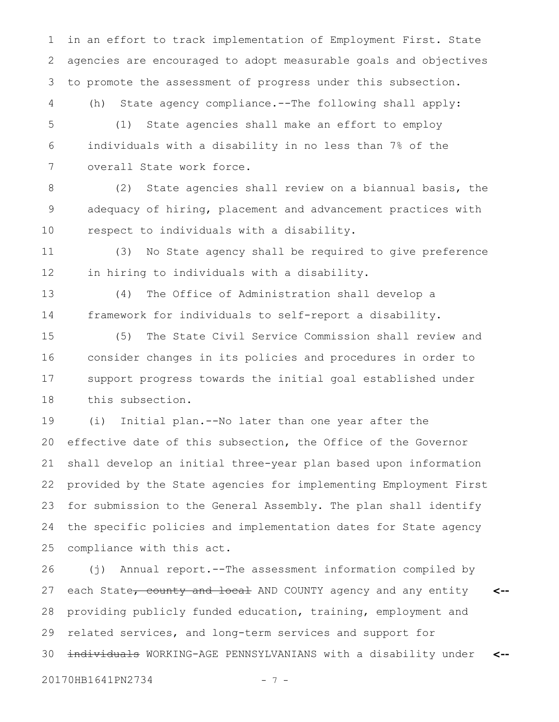in an effort to track implementation of Employment First. State agencies are encouraged to adopt measurable goals and objectives to promote the assessment of progress under this subsection. 1 2 3

(h) State agency compliance.--The following shall apply:

(1) State agencies shall make an effort to employ individuals with a disability in no less than 7% of the overall State work force. 5 6 7

4

(2) State agencies shall review on a biannual basis, the adequacy of hiring, placement and advancement practices with respect to individuals with a disability. 8 9 10

(3) No State agency shall be required to give preference in hiring to individuals with a disability. 11 12

(4) The Office of Administration shall develop a framework for individuals to self-report a disability. 13 14

(5) The State Civil Service Commission shall review and consider changes in its policies and procedures in order to support progress towards the initial goal established under this subsection. 15 16 17 18

(i) Initial plan.--No later than one year after the effective date of this subsection, the Office of the Governor shall develop an initial three-year plan based upon information provided by the State agencies for implementing Employment First for submission to the General Assembly. The plan shall identify the specific policies and implementation dates for State agency compliance with this act. 19 20 21 22 23 24 25

(j) Annual report.--The assessment information compiled by each State<del>, county and local</del> AND COUNTY agency and any entity providing publicly funded education, training, employment and related services, and long-term services and support for individuals WORKING-AGE PENNSYLVANIANS with a disability under **<-- <--** 26 27 28 29 30

20170HB1641PN2734 - 7 -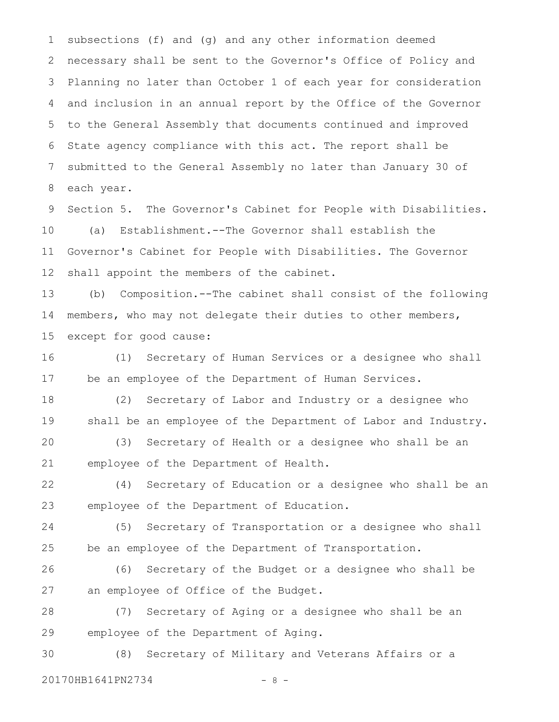subsections (f) and (g) and any other information deemed necessary shall be sent to the Governor's Office of Policy and Planning no later than October 1 of each year for consideration and inclusion in an annual report by the Office of the Governor to the General Assembly that documents continued and improved State agency compliance with this act. The report shall be submitted to the General Assembly no later than January 30 of each year. 1 2 3 4 5 6 7 8

Section 5. The Governor's Cabinet for People with Disabilities. (a) Establishment.--The Governor shall establish the Governor's Cabinet for People with Disabilities. The Governor shall appoint the members of the cabinet. 9 10 11 12

(b) Composition.--The cabinet shall consist of the following members, who may not delegate their duties to other members, except for good cause: 13 14 15

(1) Secretary of Human Services or a designee who shall be an employee of the Department of Human Services. 16 17

(2) Secretary of Labor and Industry or a designee who shall be an employee of the Department of Labor and Industry. 18 19

(3) Secretary of Health or a designee who shall be an employee of the Department of Health. 20 21

(4) Secretary of Education or a designee who shall be an employee of the Department of Education. 22 23

(5) Secretary of Transportation or a designee who shall be an employee of the Department of Transportation. 24 25

(6) Secretary of the Budget or a designee who shall be an employee of Office of the Budget. 26 27

(7) Secretary of Aging or a designee who shall be an employee of the Department of Aging. 28 29

(8) Secretary of Military and Veterans Affairs or a 20170HB1641PN2734 - 8 -30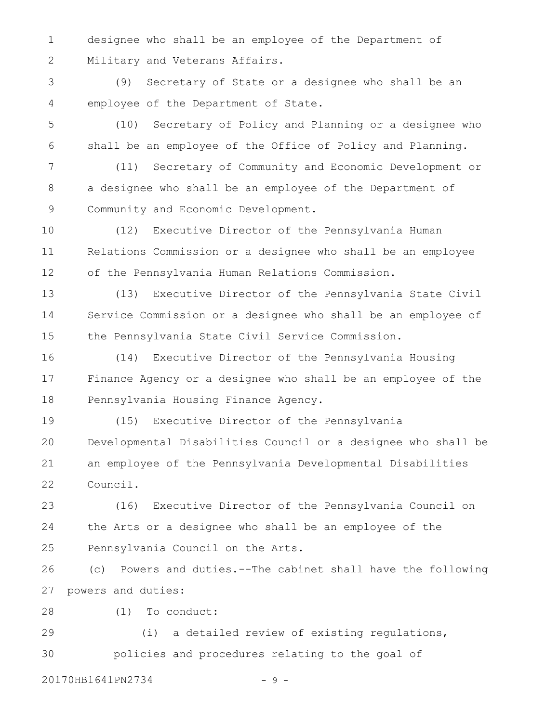designee who shall be an employee of the Department of Military and Veterans Affairs. 1 2

(9) Secretary of State or a designee who shall be an employee of the Department of State. 3 4

(10) Secretary of Policy and Planning or a designee who shall be an employee of the Office of Policy and Planning. 5 6

(11) Secretary of Community and Economic Development or a designee who shall be an employee of the Department of Community and Economic Development. 7 8 9

(12) Executive Director of the Pennsylvania Human Relations Commission or a designee who shall be an employee of the Pennsylvania Human Relations Commission. 10 11 12

(13) Executive Director of the Pennsylvania State Civil Service Commission or a designee who shall be an employee of the Pennsylvania State Civil Service Commission. 13 14 15

(14) Executive Director of the Pennsylvania Housing Finance Agency or a designee who shall be an employee of the Pennsylvania Housing Finance Agency. 16 17 18

(15) Executive Director of the Pennsylvania Developmental Disabilities Council or a designee who shall be an employee of the Pennsylvania Developmental Disabilities Council. 19 20 21 22

(16) Executive Director of the Pennsylvania Council on the Arts or a designee who shall be an employee of the Pennsylvania Council on the Arts. 23 24 25

(c) Powers and duties.--The cabinet shall have the following powers and duties: 26 27

(1) To conduct: 28

(i) a detailed review of existing regulations, policies and procedures relating to the goal of 29 30

20170HB1641PN2734 - 9 -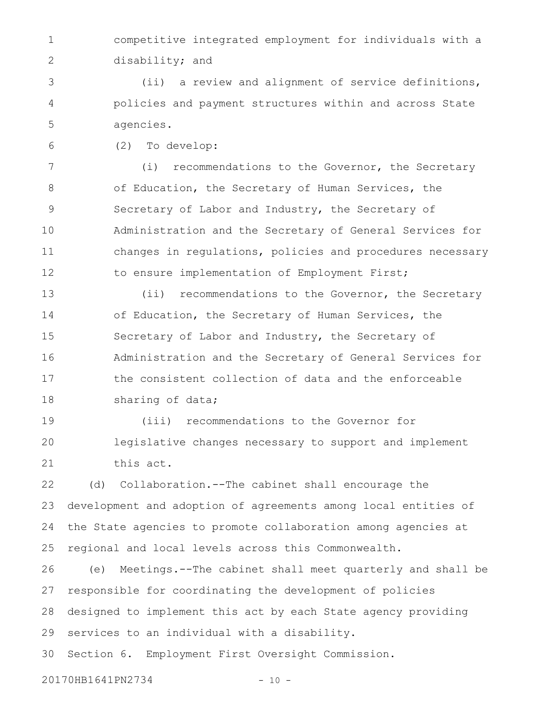competitive integrated employment for individuals with a disability; and 1 2

(ii) a review and alignment of service definitions, policies and payment structures within and across State agencies. 3 4 5

(2) To develop: 6

(i) recommendations to the Governor, the Secretary of Education, the Secretary of Human Services, the Secretary of Labor and Industry, the Secretary of Administration and the Secretary of General Services for changes in regulations, policies and procedures necessary to ensure implementation of Employment First; 7 8 9 10 11 12

(ii) recommendations to the Governor, the Secretary of Education, the Secretary of Human Services, the Secretary of Labor and Industry, the Secretary of Administration and the Secretary of General Services for the consistent collection of data and the enforceable sharing of data; 13 14 15 16 17 18

(iii) recommendations to the Governor for legislative changes necessary to support and implement this act. 19 20 21

(d) Collaboration.--The cabinet shall encourage the development and adoption of agreements among local entities of the State agencies to promote collaboration among agencies at regional and local levels across this Commonwealth. 22 23 24 25

(e) Meetings.--The cabinet shall meet quarterly and shall be responsible for coordinating the development of policies designed to implement this act by each State agency providing services to an individual with a disability. 26 27 28 29

Section 6. Employment First Oversight Commission. 30

20170HB1641PN2734 - 10 -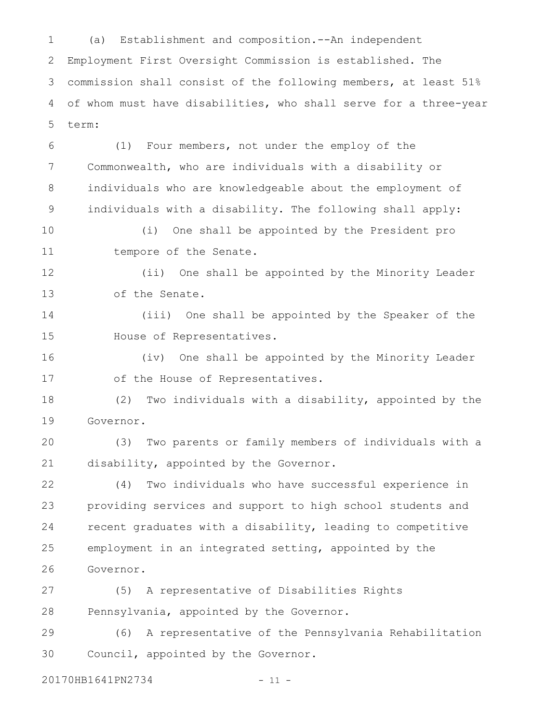(a) Establishment and composition.--An independent Employment First Oversight Commission is established. The commission shall consist of the following members, at least 51% of whom must have disabilities, who shall serve for a three-year term: 1 2 3 4 5

(1) Four members, not under the employ of the Commonwealth, who are individuals with a disability or individuals who are knowledgeable about the employment of individuals with a disability. The following shall apply: 6 7 8 9

(i) One shall be appointed by the President pro tempore of the Senate. 10 11

(ii) One shall be appointed by the Minority Leader of the Senate. 12 13

(iii) One shall be appointed by the Speaker of the House of Representatives. 14 15

(iv) One shall be appointed by the Minority Leader of the House of Representatives. 16 17

(2) Two individuals with a disability, appointed by the Governor. 18 19

(3) Two parents or family members of individuals with a disability, appointed by the Governor. 20 21

(4) Two individuals who have successful experience in providing services and support to high school students and recent graduates with a disability, leading to competitive employment in an integrated setting, appointed by the Governor. 22 23 24 25 26

(5) A representative of Disabilities Rights Pennsylvania, appointed by the Governor. 27 28

(6) A representative of the Pennsylvania Rehabilitation Council, appointed by the Governor. 29 30

20170HB1641PN2734 - 11 -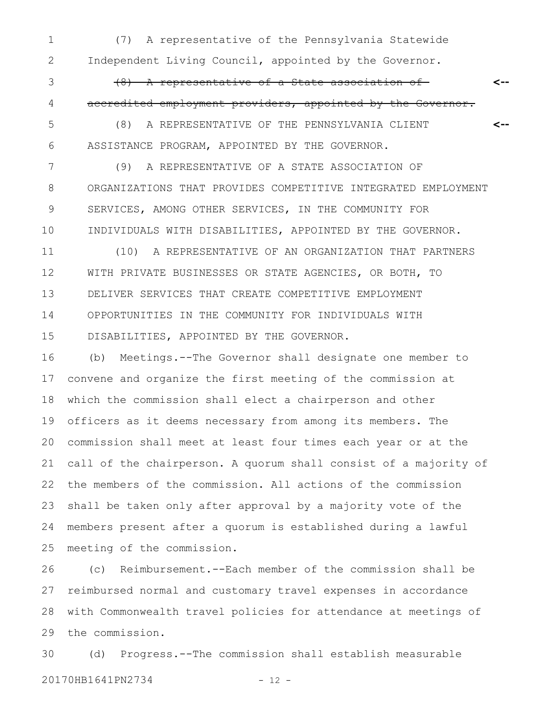(7) A representative of the Pennsylvania Statewide Independent Living Council, appointed by the Governor. 1 2

(8) A representative of a State association of accredited employment providers, appointed by the Governor. 3 4

**<--**

(8) A REPRESENTATIVE OF THE PENNSYLVANIA CLIENT ASSISTANCE PROGRAM, APPOINTED BY THE GOVERNOR. **<--** 5 6

(9) A REPRESENTATIVE OF A STATE ASSOCIATION OF ORGANIZATIONS THAT PROVIDES COMPETITIVE INTEGRATED EMPLOYMENT SERVICES, AMONG OTHER SERVICES, IN THE COMMUNITY FOR INDIVIDUALS WITH DISABILITIES, APPOINTED BY THE GOVERNOR. 7 8 9 10

(10) A REPRESENTATIVE OF AN ORGANIZATION THAT PARTNERS WITH PRIVATE BUSINESSES OR STATE AGENCIES, OR BOTH, TO DELIVER SERVICES THAT CREATE COMPETITIVE EMPLOYMENT OPPORTUNITIES IN THE COMMUNITY FOR INDIVIDUALS WITH DISABILITIES, APPOINTED BY THE GOVERNOR. 11 12 13 14 15

(b) Meetings.--The Governor shall designate one member to convene and organize the first meeting of the commission at which the commission shall elect a chairperson and other officers as it deems necessary from among its members. The commission shall meet at least four times each year or at the call of the chairperson. A quorum shall consist of a majority of the members of the commission. All actions of the commission shall be taken only after approval by a majority vote of the members present after a quorum is established during a lawful meeting of the commission. 16 17 18 19 20 21 22 23 24 25

(c) Reimbursement.--Each member of the commission shall be reimbursed normal and customary travel expenses in accordance with Commonwealth travel policies for attendance at meetings of the commission. 26 27 28 29

(d) Progress.--The commission shall establish measurable 20170HB1641PN2734 - 12 -30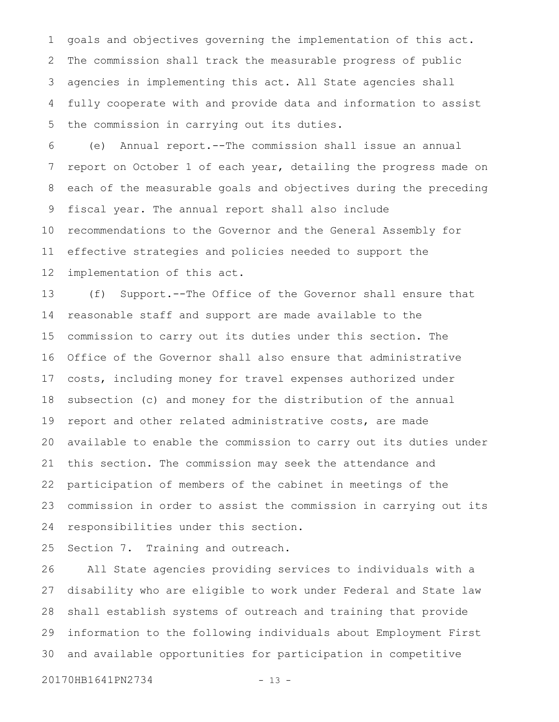goals and objectives governing the implementation of this act. The commission shall track the measurable progress of public agencies in implementing this act. All State agencies shall fully cooperate with and provide data and information to assist the commission in carrying out its duties. 1 2 3 4 5

(e) Annual report.--The commission shall issue an annual report on October 1 of each year, detailing the progress made on each of the measurable goals and objectives during the preceding fiscal year. The annual report shall also include recommendations to the Governor and the General Assembly for effective strategies and policies needed to support the implementation of this act. 6 7 8 9 10 11 12

(f) Support.--The Office of the Governor shall ensure that reasonable staff and support are made available to the commission to carry out its duties under this section. The Office of the Governor shall also ensure that administrative costs, including money for travel expenses authorized under subsection (c) and money for the distribution of the annual report and other related administrative costs, are made available to enable the commission to carry out its duties under this section. The commission may seek the attendance and participation of members of the cabinet in meetings of the commission in order to assist the commission in carrying out its responsibilities under this section. 13 14 15 16 17 18 19 20 21 22 23 24

Section 7. Training and outreach. 25

All State agencies providing services to individuals with a disability who are eligible to work under Federal and State law shall establish systems of outreach and training that provide information to the following individuals about Employment First and available opportunities for participation in competitive 26 27 28 29 30

20170HB1641PN2734 - 13 -